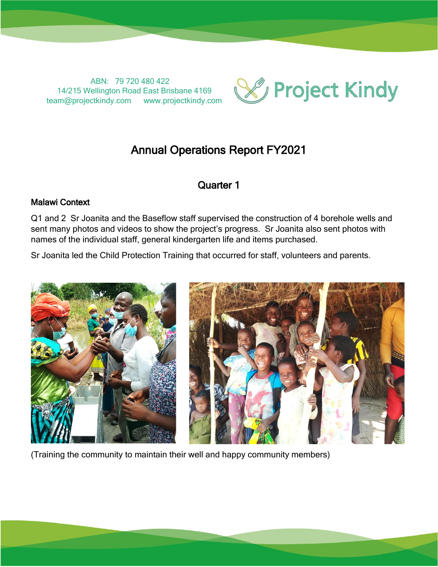ABN: 79 720 480 422 14/215 Wellington Road East Brisbane 4169 team@projectkindy.com www.projectkindy.com



# Annual Operations Report FY2021

# Quarter 1

### Malawi Context

Q1 and 2 Sr Joanita and the Baseflow staff supervised the construction of 4 borehole wells and sent many photos and videos to show the project's progress. Sr Joanita also sent photos with names of the individual staff, general kindergarten life and items purchased.

Sr Joanita led the Child Protection Training that occurred for staff, volunteers and parents.



(Training the community to maintain their well and happy community members)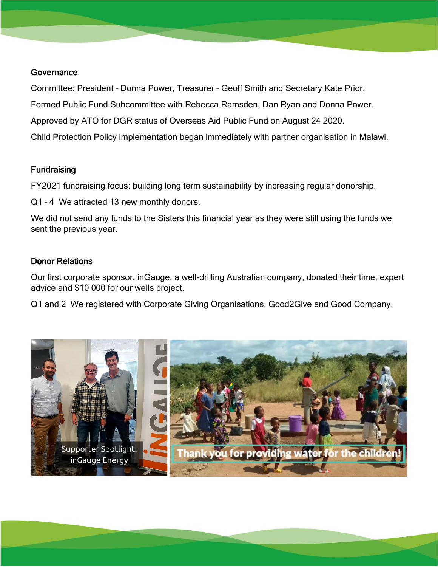#### **Governance**

Committee: President – Donna Power, Treasurer – Geoff Smith and Secretary Kate Prior. Formed Public Fund Subcommittee with Rebecca Ramsden, Dan Ryan and Donna Power. Approved by ATO for DGR status of Overseas Aid Public Fund on August 24 2020. Child Protection Policy implementation began immediately with partner organisation in Malawi.

# **Fundraising**

FY2021 fundraising focus: building long term sustainability by increasing regular donorship.

Q1 – 4 We attracted 13 new monthly donors.

We did not send any funds to the Sisters this financial year as they were still using the funds we sent the previous year.

# Donor Relations

Our first corporate sponsor, inGauge, a well-drilling Australian company, donated their time, expert advice and \$10 000 for our wells project.

Q1 and 2 We registered with Corporate Giving Organisations, Good2Give and Good Company.

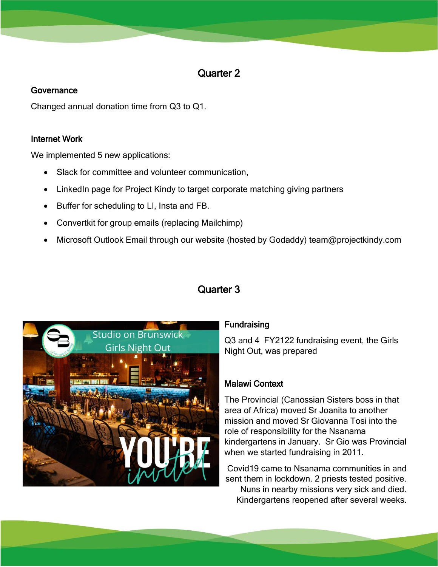# Quarter 2

# **Governance**

Changed annual donation time from Q3 to Q1.

# Internet Work

We implemented 5 new applications:

- Slack for committee and volunteer communication,
- LinkedIn page for Project Kindy to target corporate matching giving partners
- Buffer for scheduling to LI, Insta and FB.
- Convertkit for group emails (replacing Mailchimp)
- Microsoft Outlook Email through our website (hosted by Godaddy) team@projectkindy.com



# Quarter 3

# **Fundraising**

Q3 and 4 FY2122 fundraising event, the Girls Night Out, was prepared

# Malawi Context

The Provincial (Canossian Sisters boss in that area of Africa) moved Sr Joanita to another mission and moved Sr Giovanna Tosi into the role of responsibility for the Nsanama kindergartens in January. Sr Gio was Provincial when we started fundraising in 2011.

Covid19 came to Nsanama communities in and sent them in lockdown. 2 priests tested positive.

Nuns in nearby missions very sick and died. Kindergartens reopened after several weeks.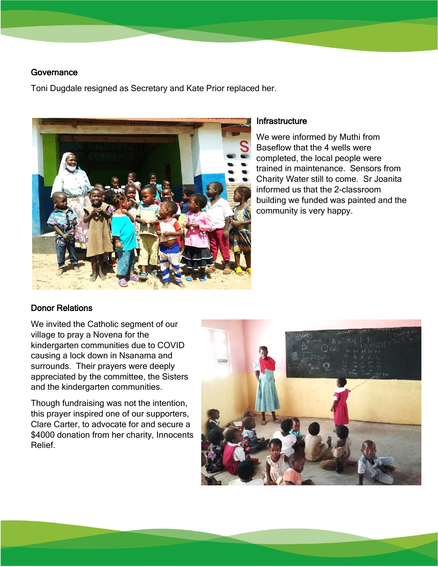#### Governance

Toni Dugdale resigned as Secretary and Kate Prior replaced her.



#### **Infrastructure**

We were informed by Muthi from Baseflow that the 4 wells were completed, the local people were trained in maintenance. Sensors from Charity Water still to come. Sr Joanita informed us that the 2-classroom building we funded was painted and the community is very happy.

### Donor Relations

We invited the Catholic segment of our village to pray a Novena for the kindergarten communities due to COVID causing a lock down in Nsanama and surrounds. Their prayers were deeply appreciated by the committee, the Sisters and the kindergarten communities.

Though fundraising was not the intention, this prayer inspired one of our supporters, Clare Carter, to advocate for and secure a \$4000 donation from her charity, Innocents Relief.